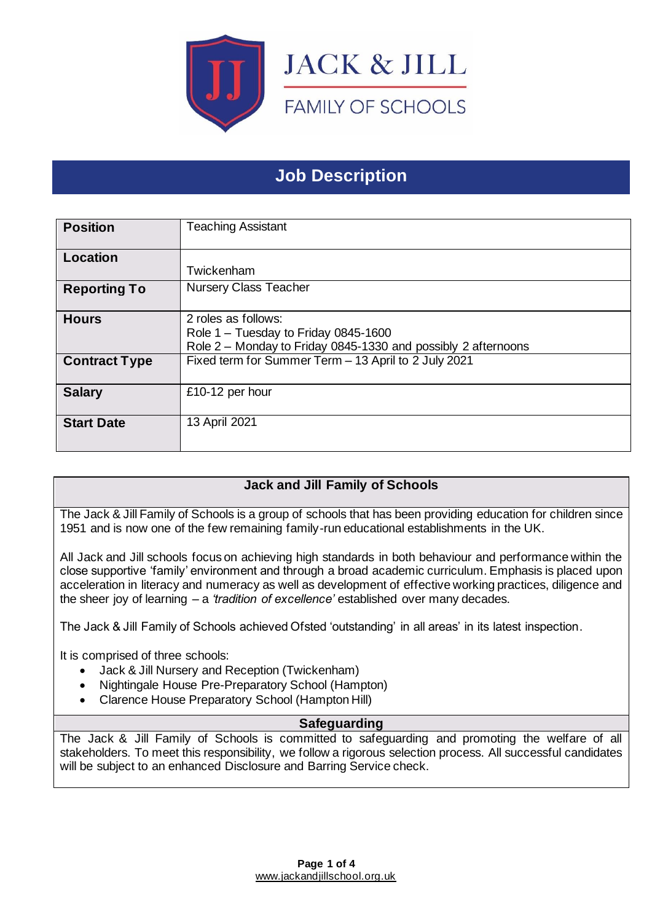

# **Job Description**

| <b>Position</b>      | <b>Teaching Assistant</b>                                                                                                    |
|----------------------|------------------------------------------------------------------------------------------------------------------------------|
| Location             | Twickenham                                                                                                                   |
| <b>Reporting To</b>  | <b>Nursery Class Teacher</b>                                                                                                 |
| <b>Hours</b>         | 2 roles as follows:<br>Role 1 - Tuesday to Friday 0845-1600<br>Role 2 - Monday to Friday 0845-1330 and possibly 2 afternoons |
| <b>Contract Type</b> | Fixed term for Summer Term - 13 April to 2 July 2021                                                                         |
| <b>Salary</b>        | £10-12 per hour                                                                                                              |
| <b>Start Date</b>    | 13 April 2021                                                                                                                |

## **Jack and Jill Family of Schools**

The Jack & Jill Family of Schools is a group of schools that has been providing education for children since 1951 and is now one of the few remaining family-run educational establishments in the UK.

All Jack and Jill schools focus on achieving high standards in both behaviour and performance within the close supportive 'family' environment and through a broad academic curriculum. Emphasis is placed upon acceleration in literacy and numeracy as well as development of effective working practices, diligence and the sheer joy of learning – a *'tradition of excellence'* established over many decades.

The Jack & Jill Family of Schools achieved Ofsted 'outstanding' in all areas' in its latest inspection.

It is comprised of three schools:

- Jack & Jill Nursery and Reception (Twickenham)
- Nightingale House Pre-Preparatory School (Hampton)
- Clarence House Preparatory School (Hampton Hill)

#### **Safeguarding**

The Jack & Jill Family of Schools is committed to safeguarding and promoting the welfare of all stakeholders. To meet this responsibility, we follow a rigorous selection process. All successful candidates will be subject to an enhanced Disclosure and Barring Service check.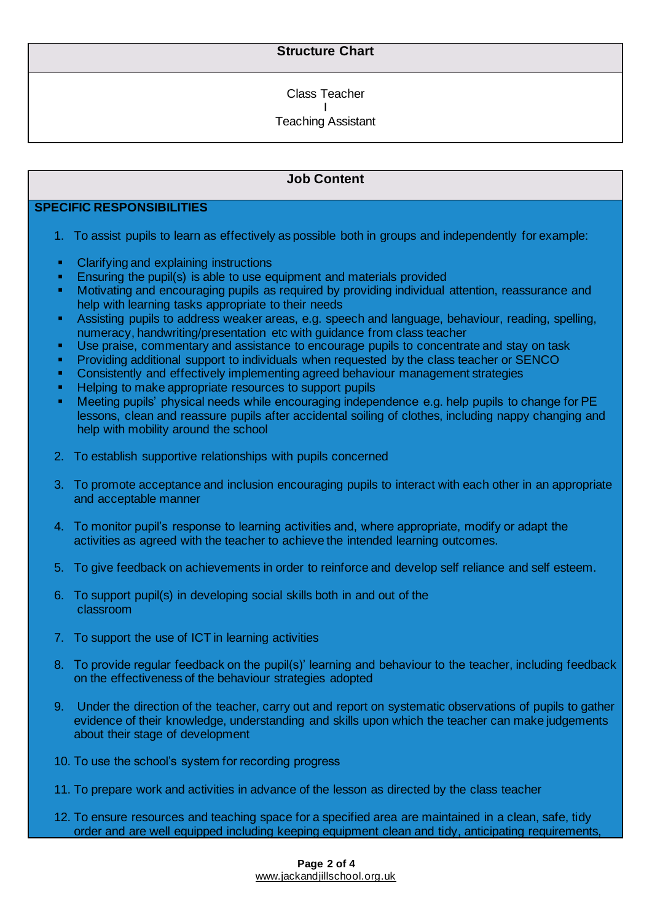### **Structure Chart**

Class Teacher

I Teaching Assistant

### **Job Content**

### **SPECIFIC RESPONSIBILITIES**

- 1. To assist pupils to learn as effectively as possible both in groups and independently for example:
- Clarifying and explaining instructions
- **Ensuring the pupil(s) is able to use equipment and materials provided**
- Motivating and encouraging pupils as required by providing individual attention, reassurance and help with learning tasks appropriate to their needs
- **EXECT:** Assisting pupils to address weaker areas, e.g. speech and language, behaviour, reading, spelling, numeracy, handwriting/presentation etc with guidance from class teacher
- Use praise, commentary and assistance to encourage pupils to concentrate and stay on task
- Providing additional support to individuals when requested by the class teacher or SENCO
- Consistently and effectively implementing agreed behaviour management strategies
- Helping to make appropriate resources to support pupils
- Meeting pupils' physical needs while encouraging independence e.g. help pupils to change for PE lessons, clean and reassure pupils after accidental soiling of clothes, including nappy changing and help with mobility around the school
- 2. To establish supportive relationships with pupils concerned
- 3. To promote acceptance and inclusion encouraging pupils to interact with each other in an appropriate and acceptable manner
- 4. To monitor pupil's response to learning activities and, where appropriate, modify or adapt the activities as agreed with the teacher to achieve the intended learning outcomes.
- 5. To give feedback on achievements in order to reinforce and develop self reliance and self esteem.
- 6. To support pupil(s) in developing social skills both in and out of the classroom
- 7. To support the use of ICT in learning activities
- 8. To provide regular feedback on the pupil(s)' learning and behaviour to the teacher, including feedback on the effectiveness of the behaviour strategies adopted
- 9. Under the direction of the teacher, carry out and report on systematic observations of pupils to gather evidence of their knowledge, understanding and skills upon which the teacher can make judgements about their stage of development
- 10. To use the school's system for recording progress
- 11. To prepare work and activities in advance of the lesson as directed by the class teacher
- 12. To ensure resources and teaching space for a specified area are maintained in a clean, safe, tidy order and are well equipped including keeping equipment clean and tidy, anticipating requirements,

**Page 2 of 4** [www.jackandjillschool.org.uk](http://www.jackandjillschool.org.uk/)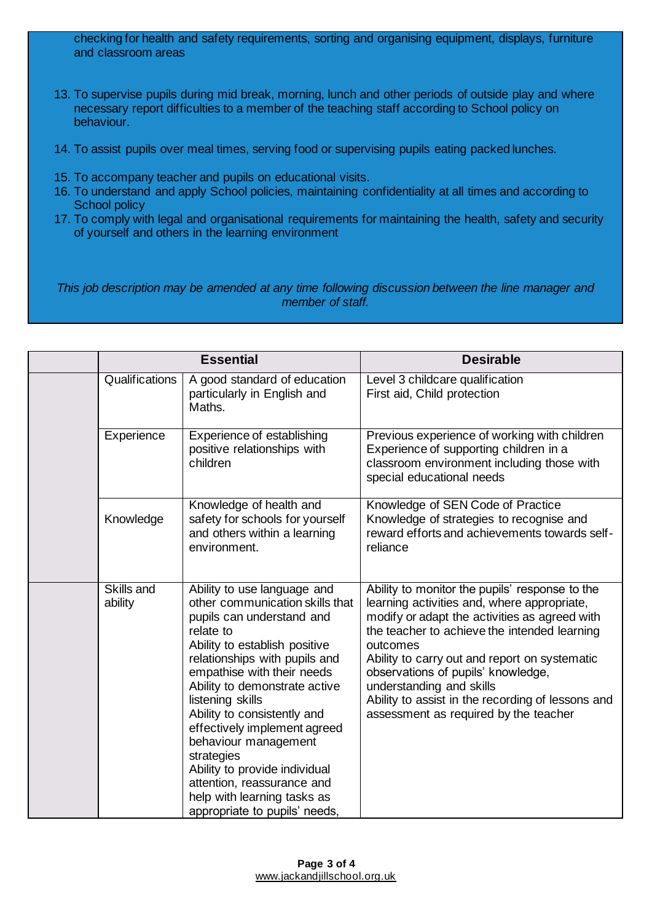checking for health and safety requirements, sorting and organising equipment, displays, furniture and classroom areas

- 13. To supervise pupils during mid break, morning, lunch and other periods of outside play and where necessary report difficulties to a member of the teaching staff according to School policy on behaviour.
- 14. To assist pupils over meal times, serving food or supervising pupils eating packed lunches.
- 15. To accompany teacher and pupils on educational visits.
- 16. To understand and apply School policies, maintaining confidentiality at all times and according to School policy
- 17. To comply with legal and organisational requirements for maintaining the health, safety and security of yourself and others in the learning environment

*This job description may be amended at any time following discussion between the line manager and member of staff.*

| <b>Essential</b>      |                                                                                                                                                                                                                                                                                                                                                                                                                                                                                                   | <b>Desirable</b>                                                                                                                                                                                                                                                                                                                                                                                                            |
|-----------------------|---------------------------------------------------------------------------------------------------------------------------------------------------------------------------------------------------------------------------------------------------------------------------------------------------------------------------------------------------------------------------------------------------------------------------------------------------------------------------------------------------|-----------------------------------------------------------------------------------------------------------------------------------------------------------------------------------------------------------------------------------------------------------------------------------------------------------------------------------------------------------------------------------------------------------------------------|
| Qualifications        | A good standard of education<br>particularly in English and<br>Maths.                                                                                                                                                                                                                                                                                                                                                                                                                             | Level 3 childcare qualification<br>First aid, Child protection                                                                                                                                                                                                                                                                                                                                                              |
| Experience            | Experience of establishing<br>positive relationships with<br>children                                                                                                                                                                                                                                                                                                                                                                                                                             | Previous experience of working with children<br>Experience of supporting children in a<br>classroom environment including those with<br>special educational needs                                                                                                                                                                                                                                                           |
| Knowledge             | Knowledge of health and<br>safety for schools for yourself<br>and others within a learning<br>environment.                                                                                                                                                                                                                                                                                                                                                                                        | Knowledge of SEN Code of Practice<br>Knowledge of strategies to recognise and<br>reward efforts and achievements towards self-<br>reliance                                                                                                                                                                                                                                                                                  |
| Skills and<br>ability | Ability to use language and<br>other communication skills that<br>pupils can understand and<br>relate to<br>Ability to establish positive<br>relationships with pupils and<br>empathise with their needs<br>Ability to demonstrate active<br>listening skills<br>Ability to consistently and<br>effectively implement agreed<br>behaviour management<br>strategies<br>Ability to provide individual<br>attention, reassurance and<br>help with learning tasks as<br>appropriate to pupils' needs, | Ability to monitor the pupils' response to the<br>learning activities and, where appropriate,<br>modify or adapt the activities as agreed with<br>the teacher to achieve the intended learning<br>outcomes<br>Ability to carry out and report on systematic<br>observations of pupils' knowledge,<br>understanding and skills<br>Ability to assist in the recording of lessons and<br>assessment as required by the teacher |